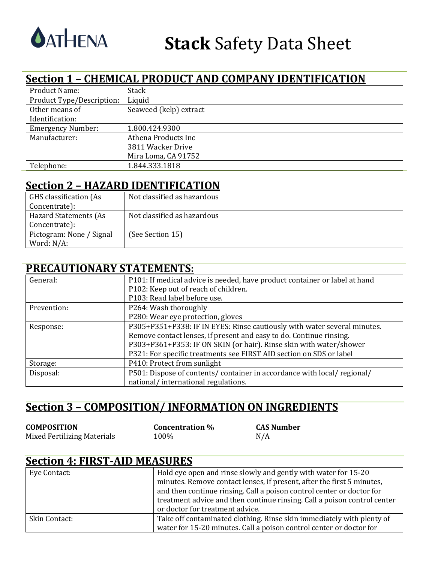

### **Section 1 - CHEMICAL PRODUCT AND COMPANY IDENTIFICATION**

| <b>Product Name:</b>      | <b>Stack</b>           |
|---------------------------|------------------------|
| Product Type/Description: | Liquid                 |
| Other means of            | Seaweed (kelp) extract |
| Identification:           |                        |
| <b>Emergency Number:</b>  | 1.800.424.9300         |
| Manufacturer:             | Athena Products Inc.   |
|                           | 3811 Wacker Drive      |
|                           | Mira Loma, CA 91752    |
| Telephone:                | 1.844.333.1818         |

### **Section 2 - HAZARD IDENTIFICATION**

| GHS classification (As   | Not classified as hazardous |
|--------------------------|-----------------------------|
| Concentrate):            |                             |
| Hazard Statements (As    | Not classified as hazardous |
| Concentrate):            |                             |
| Pictogram: None / Signal | (See Section 15)            |
| Word: N/A:               |                             |

### **PRECAUTIONARY STATEMENTS:**

| General:    | P101: If medical advice is needed, have product container or label at hand |
|-------------|----------------------------------------------------------------------------|
|             | P102: Keep out of reach of children.                                       |
|             | P103: Read label before use.                                               |
| Prevention: | P264: Wash thoroughly                                                      |
|             | P280: Wear eye protection, gloves                                          |
| Response:   | P305+P351+P338: IF IN EYES: Rinse cautiously with water several minutes.   |
|             | Remove contact lenses, if present and easy to do. Continue rinsing.        |
|             | P303+P361+P353: IF ON SKIN (or hair). Rinse skin with water/shower         |
|             | P321: For specific treatments see FIRST AID section on SDS or label        |
| Storage:    | P410: Protect from sunlight                                                |
| Disposal:   | P501: Dispose of contents/container in accordance with local/regional/     |
|             | national/international regulations.                                        |

### **Section 3 - COMPOSITION/ INFORMATION ON INGREDIENTS**

| <b>COMPOSITION</b>          | <b>Concentration</b> % | <b>CAS Number</b> |
|-----------------------------|------------------------|-------------------|
| Mixed Fertilizing Materials | 100%                   | N/A               |

#### **Section 4: FIRST-AID MEASURES**

| Eye Contact:  | Hold eye open and rinse slowly and gently with water for 15-20           |
|---------------|--------------------------------------------------------------------------|
|               | minutes. Remove contact lenses, if present, after the first 5 minutes,   |
|               | and then continue rinsing. Call a poison control center or doctor for    |
|               | treatment advice and then continue rinsing. Call a poison control center |
|               | or doctor for treatment advice.                                          |
| Skin Contact: | Take off contaminated clothing. Rinse skin immediately with plenty of    |
|               | water for 15-20 minutes. Call a poison control center or doctor for      |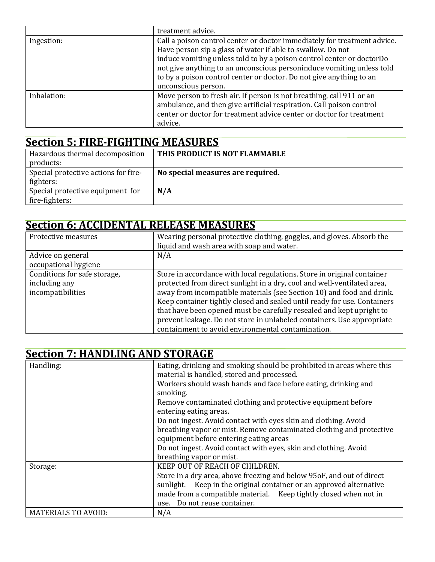|             | treatment advice.                                                                                                                                                                                                                                                                                                                                                                       |
|-------------|-----------------------------------------------------------------------------------------------------------------------------------------------------------------------------------------------------------------------------------------------------------------------------------------------------------------------------------------------------------------------------------------|
| Ingestion:  | Call a poison control center or doctor immediately for treatment advice.<br>Have person sip a glass of water if able to swallow. Do not<br>induce vomiting unless told to by a poison control center or doctorDo<br>not give anything to an unconscious personinduce vomiting unless told<br>to by a poison control center or doctor. Do not give anything to an<br>unconscious person. |
| Inhalation: | Move person to fresh air. If person is not breathing, call 911 or an<br>ambulance, and then give artificial respiration. Call poison control<br>center or doctor for treatment advice center or doctor for treatment<br>advice.                                                                                                                                                         |

### **Section 5: FIRE-FIGHTING MEASURES**

| Hazardous thermal decomposition      | THIS PRODUCT IS NOT FLAMMABLE     |
|--------------------------------------|-----------------------------------|
| products:                            |                                   |
| Special protective actions for fire- | No special measures are required. |
| fighters:                            |                                   |
| Special protective equipment for     | N/A                               |
| fire-fighters:                       |                                   |

# **Section 6: ACCIDENTAL RELEASE MEASURES**

| Protective measures                                                | Wearing personal protective clothing, goggles, and gloves. Absorb the<br>liquid and wash area with soap and water.                                                                                                                                                                                                                                                                                                                                                                                             |
|--------------------------------------------------------------------|----------------------------------------------------------------------------------------------------------------------------------------------------------------------------------------------------------------------------------------------------------------------------------------------------------------------------------------------------------------------------------------------------------------------------------------------------------------------------------------------------------------|
| Advice on general<br>occupational hygiene                          | N/A                                                                                                                                                                                                                                                                                                                                                                                                                                                                                                            |
| Conditions for safe storage,<br>including any<br>incompatibilities | Store in accordance with local regulations. Store in original container<br>protected from direct sunlight in a dry, cool and well-ventilated area,<br>away from incompatible materials (see Section 10) and food and drink.<br>Keep container tightly closed and sealed until ready for use. Containers<br>that have been opened must be carefully resealed and kept upright to<br>prevent leakage. Do not store in unlabeled containers. Use appropriate<br>containment to avoid environmental contamination. |

# **Section 7: HANDLING AND STORAGE**

| Handling:                  | Eating, drinking and smoking should be prohibited in areas where this |
|----------------------------|-----------------------------------------------------------------------|
|                            | material is handled, stored and processed.                            |
|                            | Workers should wash hands and face before eating, drinking and        |
|                            | smoking.                                                              |
|                            | Remove contaminated clothing and protective equipment before          |
|                            | entering eating areas.                                                |
|                            | Do not ingest. Avoid contact with eyes skin and clothing. Avoid       |
|                            | breathing vapor or mist. Remove contaminated clothing and protective  |
|                            | equipment before entering eating areas                                |
|                            | Do not ingest. Avoid contact with eyes, skin and clothing. Avoid      |
|                            | breathing vapor or mist.                                              |
| Storage:                   | KEEP OUT OF REACH OF CHILDREN.                                        |
|                            | Store in a dry area, above freezing and below 95oF, and out of direct |
|                            | sunlight. Keep in the original container or an approved alternative   |
|                            | made from a compatible material. Keep tightly closed when not in      |
|                            | use. Do not reuse container.                                          |
| <b>MATERIALS TO AVOID:</b> | N/A                                                                   |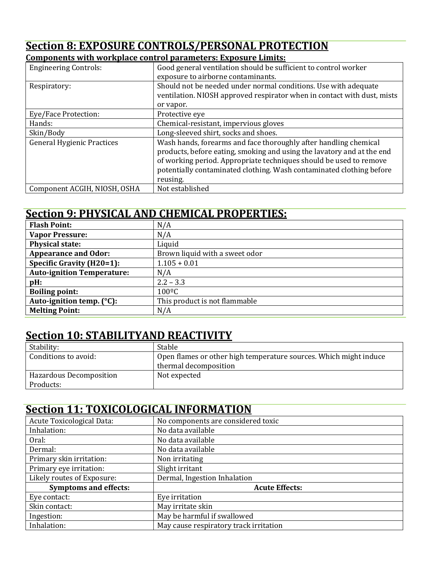# **Section 8: EXPOSURE CONTROLS/PERSONAL PROTECTION**

#### **Components with workplace control parameters: Exposure Limits:**

| <b>Engineering Controls:</b>      | Good general ventilation should be sufficient to control worker         |
|-----------------------------------|-------------------------------------------------------------------------|
|                                   | exposure to airborne contaminants.                                      |
| Respiratory:                      | Should not be needed under normal conditions. Use with adequate         |
|                                   | ventilation. NIOSH approved respirator when in contact with dust, mists |
|                                   | or vapor.                                                               |
| Eye/Face Protection:              | Protective eye                                                          |
| Hands:                            | Chemical-resistant, impervious gloves                                   |
| Skin/Body                         | Long-sleeved shirt, socks and shoes.                                    |
| <b>General Hygienic Practices</b> | Wash hands, forearms and face thoroughly after handling chemical        |
|                                   | products, before eating, smoking and using the lavatory and at the end  |
|                                   | of working period. Appropriate techniques should be used to remove      |
|                                   | potentially contaminated clothing. Wash contaminated clothing before    |
|                                   | reusing.                                                                |
| Component ACGIH, NIOSH, OSHA      | Not established                                                         |

### **Section 9: PHYSICAL AND CHEMICAL PROPERTIES:**

| <b>Flash Point:</b>               | N/A                            |
|-----------------------------------|--------------------------------|
| <b>Vapor Pressure:</b>            | N/A                            |
| <b>Physical state:</b>            | Liquid                         |
| <b>Appearance and Odor:</b>       | Brown liquid with a sweet odor |
| <b>Specific Gravity (H20=1):</b>  | $1.105 + 0.01$                 |
| <b>Auto-ignition Temperature:</b> | N/A                            |
| $pH$ :                            | $2.2 - 3.3$                    |
| <b>Boiling point:</b>             | $100^{\circ}$ C                |
| Auto-ignition temp. (°C):         | This product is not flammable  |
| <b>Melting Point:</b>             | N/A                            |

### **Section 10: STABILITYAND REACTIVITY**

| Stability:                     | Stable                                                            |
|--------------------------------|-------------------------------------------------------------------|
| Conditions to avoid:           | Open flames or other high temperature sources. Which might induce |
|                                | thermal decomposition                                             |
| <b>Hazardous Decomposition</b> | Not expected                                                      |
| Products:                      |                                                                   |

### **Section 11: TOXICOLOGICAL INFORMATION**

| Acute Toxicological Data:    | No components are considered toxic     |
|------------------------------|----------------------------------------|
| Inhalation:                  | No data available                      |
| Oral:                        | No data available                      |
| Dermal:                      | No data available                      |
| Primary skin irritation:     | Non irritating                         |
| Primary eye irritation:      | Slight irritant                        |
| Likely routes of Exposure:   | Dermal, Ingestion Inhalation           |
| <b>Symptoms and effects:</b> | <b>Acute Effects:</b>                  |
| Eye contact:                 | Eye irritation                         |
| Skin contact:                | May irritate skin                      |
| Ingestion:                   | May be harmful if swallowed            |
| Inhalation:                  | May cause respiratory track irritation |